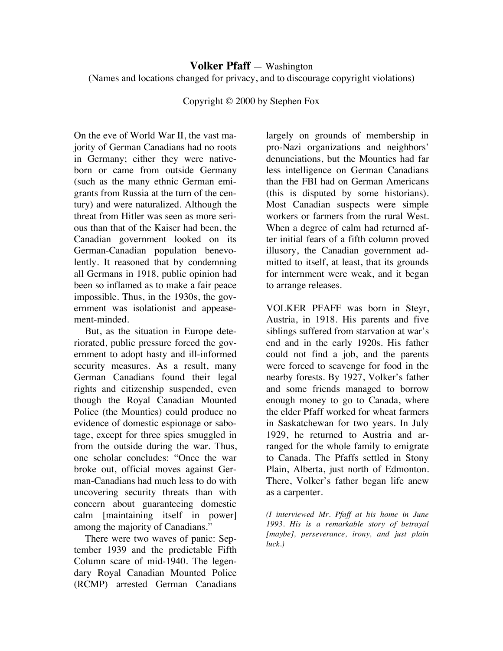# **Volker Pfaff** — Washington

(Names and locations changed for privacy, and to discourage copyright violations)

Copyright © 2000 by Stephen Fox

On the eve of World War II, the vast majority of German Canadians had no roots in Germany; either they were nativeborn or came from outside Germany (such as the many ethnic German emigrants from Russia at the turn of the century) and were naturalized. Although the threat from Hitler was seen as more serious than that of the Kaiser had been, the Canadian government looked on its German-Canadian population benevolently. It reasoned that by condemning all Germans in 1918, public opinion had been so inflamed as to make a fair peace impossible. Thus, in the 1930s, the government was isolationist and appeasement-minded.

But, as the situation in Europe deteriorated, public pressure forced the government to adopt hasty and ill-informed security measures. As a result, many German Canadians found their legal rights and citizenship suspended, even though the Royal Canadian Mounted Police (the Mounties) could produce no evidence of domestic espionage or sabotage, except for three spies smuggled in from the outside during the war. Thus, one scholar concludes: "Once the war broke out, official moves against German-Canadians had much less to do with uncovering security threats than with concern about guaranteeing domestic calm [maintaining itself in power] among the majority of Canadians."

There were two waves of panic: September 1939 and the predictable Fifth Column scare of mid-1940. The legendary Royal Canadian Mounted Police (RCMP) arrested German Canadians

largely on grounds of membership in pro-Nazi organizations and neighbors' denunciations, but the Mounties had far less intelligence on German Canadians than the FBI had on German Americans (this is disputed by some historians). Most Canadian suspects were simple workers or farmers from the rural West. When a degree of calm had returned after initial fears of a fifth column proved illusory, the Canadian government admitted to itself, at least, that its grounds for internment were weak, and it began to arrange releases.

VOLKER PFAFF was born in Steyr, Austria, in 1918. His parents and five siblings suffered from starvation at war's end and in the early 1920s. His father could not find a job, and the parents were forced to scavenge for food in the nearby forests. By 1927, Volker's father and some friends managed to borrow enough money to go to Canada, where the elder Pfaff worked for wheat farmers in Saskatchewan for two years. In July 1929, he returned to Austria and arranged for the whole family to emigrate to Canada. The Pfaffs settled in Stony Plain, Alberta, just north of Edmonton. There, Volker's father began life anew as a carpenter.

*(I interviewed Mr. Pfaff at his home in June 1993. His is a remarkable story of betrayal [maybe], perseverance, irony, and just plain luck.)*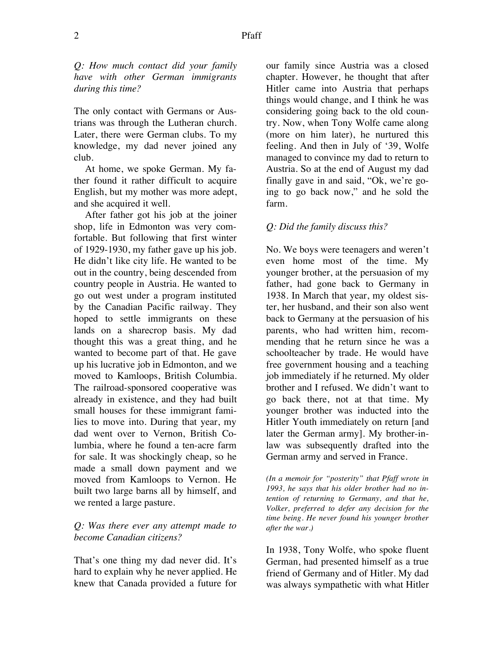*Q: How much contact did your family have with other German immigrants during this time?* 

The only contact with Germans or Austrians was through the Lutheran church. Later, there were German clubs. To my knowledge, my dad never joined any club.

At home, we spoke German. My father found it rather difficult to acquire English, but my mother was more adept, and she acquired it well.

After father got his job at the joiner shop, life in Edmonton was very comfortable. But following that first winter of 1929-1930, my father gave up his job. He didn't like city life. He wanted to be out in the country, being descended from country people in Austria. He wanted to go out west under a program instituted by the Canadian Pacific railway. They hoped to settle immigrants on these lands on a sharecrop basis. My dad thought this was a great thing, and he wanted to become part of that. He gave up his lucrative job in Edmonton, and we moved to Kamloops, British Columbia. The railroad-sponsored cooperative was already in existence, and they had built small houses for these immigrant families to move into. During that year, my dad went over to Vernon, British Columbia, where he found a ten-acre farm for sale. It was shockingly cheap, so he made a small down payment and we moved from Kamloops to Vernon. He built two large barns all by himself, and we rented a large pasture.

### *Q: Was there ever any attempt made to become Canadian citizens?*

That's one thing my dad never did. It's hard to explain why he never applied. He knew that Canada provided a future for

our family since Austria was a closed chapter. However, he thought that after Hitler came into Austria that perhaps things would change, and I think he was considering going back to the old country. Now, when Tony Wolfe came along (more on him later), he nurtured this feeling. And then in July of '39, Wolfe managed to convince my dad to return to Austria. So at the end of August my dad finally gave in and said, "Ok, we're going to go back now," and he sold the farm.

### *Q: Did the family discuss this?*

No. We boys were teenagers and weren't even home most of the time. My younger brother, at the persuasion of my father, had gone back to Germany in 1938. In March that year, my oldest sister, her husband, and their son also went back to Germany at the persuasion of his parents, who had written him, recommending that he return since he was a schoolteacher by trade. He would have free government housing and a teaching job immediately if he returned. My older brother and I refused. We didn't want to go back there, not at that time. My younger brother was inducted into the Hitler Youth immediately on return [and later the German army]. My brother-inlaw was subsequently drafted into the German army and served in France.

*(In a memoir for "posterity" that Pfaff wrote in 1993, he says that his older brother had no intention of returning to Germany, and that he, Volker, preferred to defer any decision for the time being. He never found his younger brother after the war.)* 

In 1938, Tony Wolfe, who spoke fluent German, had presented himself as a true friend of Germany and of Hitler. My dad was always sympathetic with what Hitler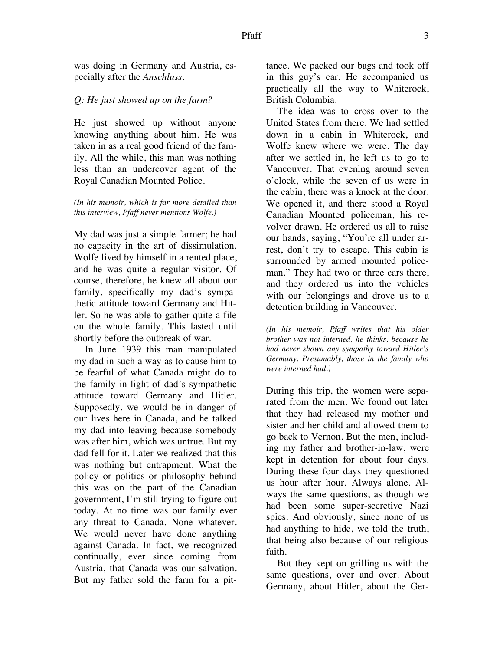was doing in Germany and Austria, especially after the *Anschluss*.

#### *Q: He just showed up on the farm?*

He just showed up without anyone knowing anything about him. He was taken in as a real good friend of the family. All the while, this man was nothing less than an undercover agent of the Royal Canadian Mounted Police.

*(In his memoir, which is far more detailed than this interview, Pfaff never mentions Wolfe.)* 

My dad was just a simple farmer; he had no capacity in the art of dissimulation. Wolfe lived by himself in a rented place, and he was quite a regular visitor. Of course, therefore, he knew all about our family, specifically my dad's sympathetic attitude toward Germany and Hitler. So he was able to gather quite a file on the whole family. This lasted until shortly before the outbreak of war.

In June 1939 this man manipulated my dad in such a way as to cause him to be fearful of what Canada might do to the family in light of dad's sympathetic attitude toward Germany and Hitler. Supposedly, we would be in danger of our lives here in Canada, and he talked my dad into leaving because somebody was after him, which was untrue. But my dad fell for it. Later we realized that this was nothing but entrapment. What the policy or politics or philosophy behind this was on the part of the Canadian government, I'm still trying to figure out today. At no time was our family ever any threat to Canada. None whatever. We would never have done anything against Canada. In fact, we recognized continually, ever since coming from Austria, that Canada was our salvation. But my father sold the farm for a pittance. We packed our bags and took off in this guy's car. He accompanied us practically all the way to Whiterock, British Columbia.

The idea was to cross over to the United States from there. We had settled down in a cabin in Whiterock, and Wolfe knew where we were. The day after we settled in, he left us to go to Vancouver. That evening around seven o'clock, while the seven of us were in the cabin, there was a knock at the door. We opened it, and there stood a Royal Canadian Mounted policeman, his revolver drawn. He ordered us all to raise our hands, saying, "You're all under arrest, don't try to escape. This cabin is surrounded by armed mounted policeman." They had two or three cars there, and they ordered us into the vehicles with our belongings and drove us to a detention building in Vancouver.

*(In his memoir, Pfaff writes that his older brother was not interned, he thinks, because he had never shown any sympathy toward Hitler's Germany. Presumably, those in the family who were interned had.)* 

During this trip, the women were separated from the men. We found out later that they had released my mother and sister and her child and allowed them to go back to Vernon. But the men, including my father and brother-in-law, were kept in detention for about four days. During these four days they questioned us hour after hour. Always alone. Always the same questions, as though we had been some super-secretive Nazi spies. And obviously, since none of us had anything to hide, we told the truth, that being also because of our religious faith.

But they kept on grilling us with the same questions, over and over. About Germany, about Hitler, about the Ger-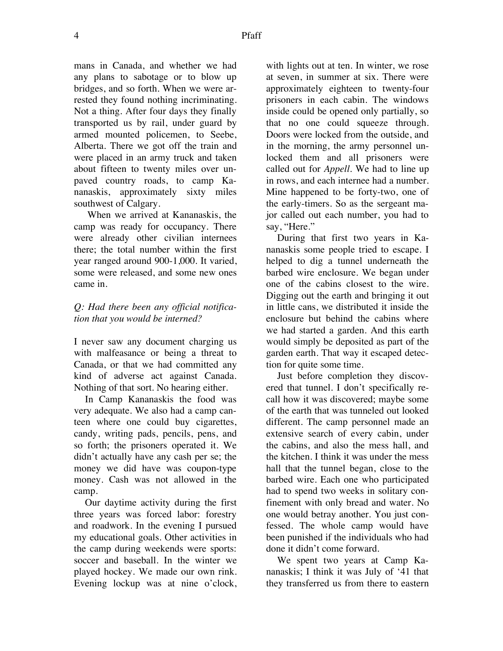mans in Canada, and whether we had any plans to sabotage or to blow up bridges, and so forth. When we were arrested they found nothing incriminating. Not a thing. After four days they finally transported us by rail, under guard by armed mounted policemen, to Seebe, Alberta. There we got off the train and were placed in an army truck and taken about fifteen to twenty miles over unpaved country roads, to camp Kananaskis, approximately sixty miles southwest of Calgary.

 When we arrived at Kananaskis, the camp was ready for occupancy. There were already other civilian internees there; the total number within the first year ranged around 900-1,000. It varied, some were released, and some new ones came in.

## *Q: Had there been any official notification that you would be interned?*

I never saw any document charging us with malfeasance or being a threat to Canada, or that we had committed any kind of adverse act against Canada. Nothing of that sort. No hearing either.

In Camp Kananaskis the food was very adequate. We also had a camp canteen where one could buy cigarettes, candy, writing pads, pencils, pens, and so forth; the prisoners operated it. We didn't actually have any cash per se; the money we did have was coupon-type money. Cash was not allowed in the camp.

Our daytime activity during the first three years was forced labor: forestry and roadwork. In the evening I pursued my educational goals. Other activities in the camp during weekends were sports: soccer and baseball. In the winter we played hockey. We made our own rink. Evening lockup was at nine o'clock,

with lights out at ten. In winter, we rose at seven, in summer at six. There were approximately eighteen to twenty-four prisoners in each cabin. The windows inside could be opened only partially, so that no one could squeeze through. Doors were locked from the outside, and in the morning, the army personnel unlocked them and all prisoners were called out for *Appell*. We had to line up in rows, and each internee had a number. Mine happened to be forty-two, one of the early-timers. So as the sergeant major called out each number, you had to say, "Here."

During that first two years in Kananaskis some people tried to escape. I helped to dig a tunnel underneath the barbed wire enclosure. We began under one of the cabins closest to the wire. Digging out the earth and bringing it out in little cans, we distributed it inside the enclosure but behind the cabins where we had started a garden. And this earth would simply be deposited as part of the garden earth. That way it escaped detection for quite some time.

Just before completion they discovered that tunnel. I don't specifically recall how it was discovered; maybe some of the earth that was tunneled out looked different. The camp personnel made an extensive search of every cabin, under the cabins, and also the mess hall, and the kitchen. I think it was under the mess hall that the tunnel began, close to the barbed wire. Each one who participated had to spend two weeks in solitary confinement with only bread and water. No one would betray another. You just confessed. The whole camp would have been punished if the individuals who had done it didn't come forward.

We spent two years at Camp Kananaskis; I think it was July of '41 that they transferred us from there to eastern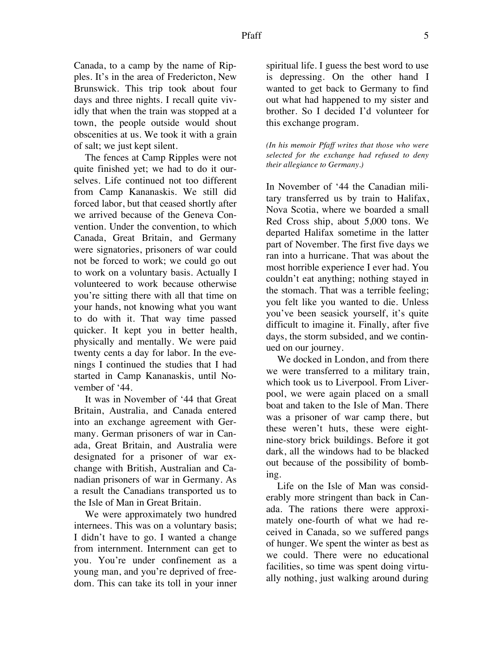Canada, to a camp by the name of Ripples. It's in the area of Fredericton, New Brunswick. This trip took about four days and three nights. I recall quite vividly that when the train was stopped at a town, the people outside would shout obscenities at us. We took it with a grain of salt; we just kept silent.

The fences at Camp Ripples were not quite finished yet; we had to do it ourselves. Life continued not too different from Camp Kananaskis. We still did forced labor, but that ceased shortly after we arrived because of the Geneva Convention. Under the convention, to which Canada, Great Britain, and Germany were signatories, prisoners of war could not be forced to work; we could go out to work on a voluntary basis. Actually I volunteered to work because otherwise you're sitting there with all that time on your hands, not knowing what you want to do with it. That way time passed quicker. It kept you in better health, physically and mentally. We were paid twenty cents a day for labor. In the evenings I continued the studies that I had started in Camp Kananaskis, until November of '44.

It was in November of '44 that Great Britain, Australia, and Canada entered into an exchange agreement with Germany. German prisoners of war in Canada, Great Britain, and Australia were designated for a prisoner of war exchange with British, Australian and Canadian prisoners of war in Germany. As a result the Canadians transported us to the Isle of Man in Great Britain.

We were approximately two hundred internees. This was on a voluntary basis; I didn't have to go. I wanted a change from internment. Internment can get to you. You're under confinement as a young man, and you're deprived of freedom. This can take its toll in your inner

spiritual life. I guess the best word to use is depressing. On the other hand I wanted to get back to Germany to find out what had happened to my sister and brother. So I decided I'd volunteer for this exchange program.

*(In his memoir Pfaff writes that those who were selected for the exchange had refused to deny their allegiance to Germany.)*

In November of '44 the Canadian military transferred us by train to Halifax, Nova Scotia, where we boarded a small Red Cross ship, about 5,000 tons. We departed Halifax sometime in the latter part of November. The first five days we ran into a hurricane. That was about the most horrible experience I ever had. You couldn't eat anything; nothing stayed in the stomach. That was a terrible feeling; you felt like you wanted to die. Unless you've been seasick yourself, it's quite difficult to imagine it. Finally, after five days, the storm subsided, and we continued on our journey.

We docked in London, and from there we were transferred to a military train, which took us to Liverpool. From Liverpool, we were again placed on a small boat and taken to the Isle of Man. There was a prisoner of war camp there, but these weren't huts, these were eightnine-story brick buildings. Before it got dark, all the windows had to be blacked out because of the possibility of bombing.

Life on the Isle of Man was considerably more stringent than back in Canada. The rations there were approximately one-fourth of what we had received in Canada, so we suffered pangs of hunger. We spent the winter as best as we could. There were no educational facilities, so time was spent doing virtually nothing, just walking around during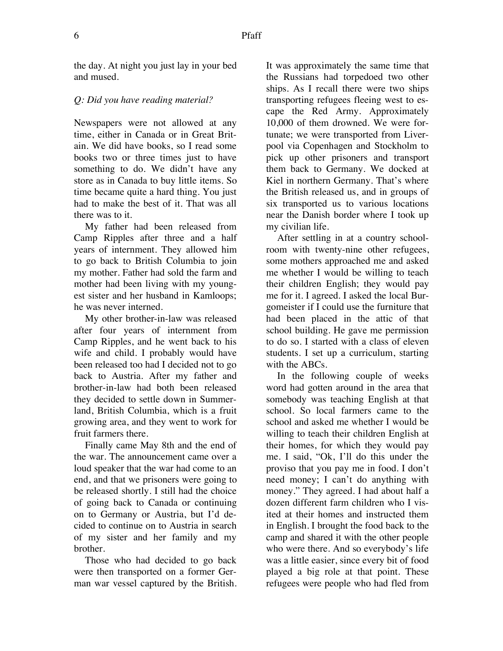the day. At night you just lay in your bed and mused.

# *Q: Did you have reading material?*

Newspapers were not allowed at any time, either in Canada or in Great Britain. We did have books, so I read some books two or three times just to have something to do. We didn't have any store as in Canada to buy little items. So time became quite a hard thing. You just had to make the best of it. That was all there was to it.

My father had been released from Camp Ripples after three and a half years of internment. They allowed him to go back to British Columbia to join my mother. Father had sold the farm and mother had been living with my youngest sister and her husband in Kamloops; he was never interned.

My other brother-in-law was released after four years of internment from Camp Ripples, and he went back to his wife and child. I probably would have been released too had I decided not to go back to Austria. After my father and brother-in-law had both been released they decided to settle down in Summerland, British Columbia, which is a fruit growing area, and they went to work for fruit farmers there.

Finally came May 8th and the end of the war. The announcement came over a loud speaker that the war had come to an end, and that we prisoners were going to be released shortly. I still had the choice of going back to Canada or continuing on to Germany or Austria, but I'd decided to continue on to Austria in search of my sister and her family and my brother.

Those who had decided to go back were then transported on a former German war vessel captured by the British. It was approximately the same time that the Russians had torpedoed two other ships. As I recall there were two ships transporting refugees fleeing west to escape the Red Army. Approximately 10,000 of them drowned. We were fortunate; we were transported from Liverpool via Copenhagen and Stockholm to pick up other prisoners and transport them back to Germany. We docked at Kiel in northern Germany. That's where the British released us, and in groups of six transported us to various locations near the Danish border where I took up my civilian life.

After settling in at a country schoolroom with twenty-nine other refugees, some mothers approached me and asked me whether I would be willing to teach their children English; they would pay me for it. I agreed. I asked the local Burgomeister if I could use the furniture that had been placed in the attic of that school building. He gave me permission to do so. I started with a class of eleven students. I set up a curriculum, starting with the ABCs.

In the following couple of weeks word had gotten around in the area that somebody was teaching English at that school. So local farmers came to the school and asked me whether I would be willing to teach their children English at their homes, for which they would pay me. I said, "Ok, I'll do this under the proviso that you pay me in food. I don't need money; I can't do anything with money." They agreed. I had about half a dozen different farm children who I visited at their homes and instructed them in English. I brought the food back to the camp and shared it with the other people who were there. And so everybody's life was a little easier, since every bit of food played a big role at that point. These refugees were people who had fled from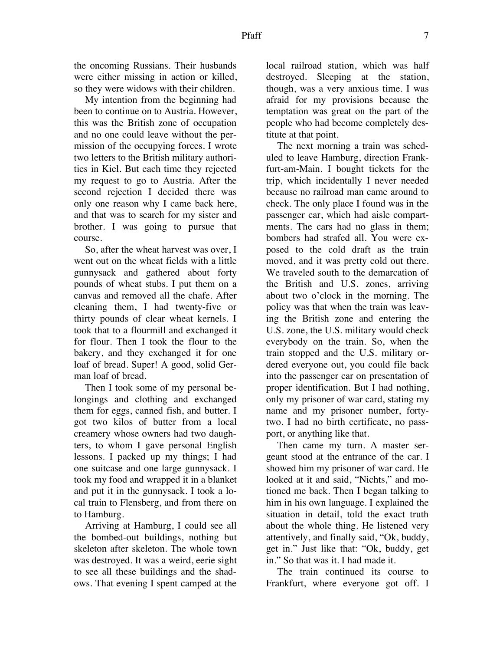the oncoming Russians. Their husbands were either missing in action or killed, so they were widows with their children.

My intention from the beginning had been to continue on to Austria. However, this was the British zone of occupation and no one could leave without the permission of the occupying forces. I wrote two letters to the British military authorities in Kiel. But each time they rejected my request to go to Austria. After the second rejection I decided there was only one reason why I came back here, and that was to search for my sister and brother. I was going to pursue that course.

So, after the wheat harvest was over, I went out on the wheat fields with a little gunnysack and gathered about forty pounds of wheat stubs. I put them on a canvas and removed all the chafe. After cleaning them, I had twenty-five or thirty pounds of clear wheat kernels. I took that to a flourmill and exchanged it for flour. Then I took the flour to the bakery, and they exchanged it for one loaf of bread. Super! A good, solid German loaf of bread.

Then I took some of my personal belongings and clothing and exchanged them for eggs, canned fish, and butter. I got two kilos of butter from a local creamery whose owners had two daughters, to whom I gave personal English lessons. I packed up my things; I had one suitcase and one large gunnysack. I took my food and wrapped it in a blanket and put it in the gunnysack. I took a local train to Flensberg, and from there on to Hamburg.

Arriving at Hamburg, I could see all the bombed-out buildings, nothing but skeleton after skeleton. The whole town was destroyed. It was a weird, eerie sight to see all these buildings and the shadows. That evening I spent camped at the

local railroad station, which was half destroyed. Sleeping at the station, though, was a very anxious time. I was afraid for my provisions because the temptation was great on the part of the people who had become completely destitute at that point.

The next morning a train was scheduled to leave Hamburg, direction Frankfurt-am-Main. I bought tickets for the trip, which incidentally I never needed because no railroad man came around to check. The only place I found was in the passenger car, which had aisle compartments. The cars had no glass in them; bombers had strafed all. You were exposed to the cold draft as the train moved, and it was pretty cold out there. We traveled south to the demarcation of the British and U.S. zones, arriving about two o'clock in the morning. The policy was that when the train was leaving the British zone and entering the U.S. zone, the U.S. military would check everybody on the train. So, when the train stopped and the U.S. military ordered everyone out, you could file back into the passenger car on presentation of proper identification. But I had nothing, only my prisoner of war card, stating my name and my prisoner number, fortytwo. I had no birth certificate, no passport, or anything like that.

Then came my turn. A master sergeant stood at the entrance of the car. I showed him my prisoner of war card. He looked at it and said, "Nichts," and motioned me back. Then I began talking to him in his own language. I explained the situation in detail, told the exact truth about the whole thing. He listened very attentively, and finally said, "Ok, buddy, get in." Just like that: "Ok, buddy, get in." So that was it. I had made it.

The train continued its course to Frankfurt, where everyone got off. I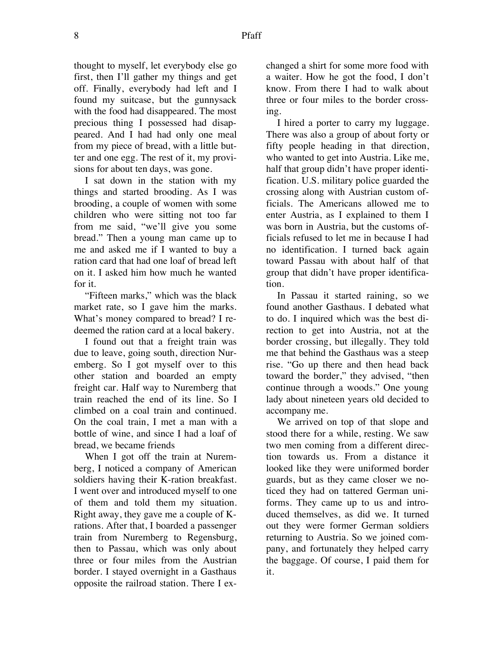thought to myself, let everybody else go first, then I'll gather my things and get off. Finally, everybody had left and I found my suitcase, but the gunnysack with the food had disappeared. The most precious thing I possessed had disappeared. And I had had only one meal from my piece of bread, with a little butter and one egg. The rest of it, my provisions for about ten days, was gone.

I sat down in the station with my things and started brooding. As I was brooding, a couple of women with some children who were sitting not too far from me said, "we'll give you some bread." Then a young man came up to me and asked me if I wanted to buy a ration card that had one loaf of bread left on it. I asked him how much he wanted for it.

"Fifteen marks," which was the black market rate, so I gave him the marks. What's money compared to bread? I redeemed the ration card at a local bakery.

I found out that a freight train was due to leave, going south, direction Nuremberg. So I got myself over to this other station and boarded an empty freight car. Half way to Nuremberg that train reached the end of its line. So I climbed on a coal train and continued. On the coal train, I met a man with a bottle of wine, and since I had a loaf of bread, we became friends

When I got off the train at Nuremberg, I noticed a company of American soldiers having their K-ration breakfast. I went over and introduced myself to one of them and told them my situation. Right away, they gave me a couple of Krations. After that, I boarded a passenger train from Nuremberg to Regensburg, then to Passau, which was only about three or four miles from the Austrian border. I stayed overnight in a Gasthaus opposite the railroad station. There I exchanged a shirt for some more food with a waiter. How he got the food, I don't know. From there I had to walk about three or four miles to the border crossing.

I hired a porter to carry my luggage. There was also a group of about forty or fifty people heading in that direction, who wanted to get into Austria. Like me, half that group didn't have proper identification. U.S. military police guarded the crossing along with Austrian custom officials. The Americans allowed me to enter Austria, as I explained to them I was born in Austria, but the customs officials refused to let me in because I had no identification. I turned back again toward Passau with about half of that group that didn't have proper identification.

In Passau it started raining, so we found another Gasthaus. I debated what to do. I inquired which was the best direction to get into Austria, not at the border crossing, but illegally. They told me that behind the Gasthaus was a steep rise. "Go up there and then head back toward the border," they advised, "then continue through a woods." One young lady about nineteen years old decided to accompany me.

We arrived on top of that slope and stood there for a while, resting. We saw two men coming from a different direction towards us. From a distance it looked like they were uniformed border guards, but as they came closer we noticed they had on tattered German uniforms. They came up to us and introduced themselves, as did we. It turned out they were former German soldiers returning to Austria. So we joined company, and fortunately they helped carry the baggage. Of course, I paid them for it.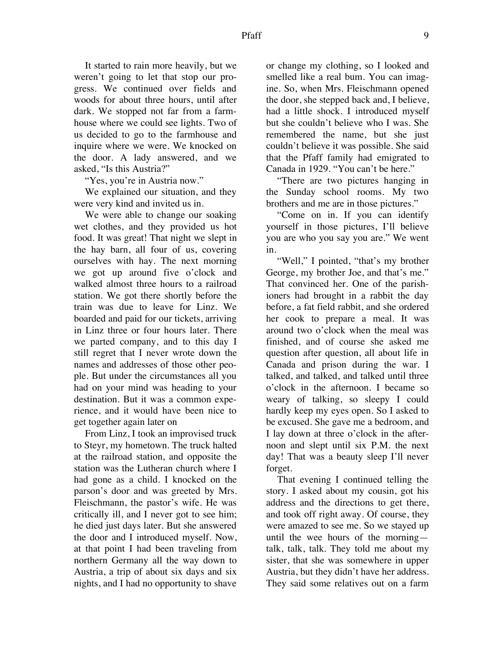It started to rain more heavily, but we weren't going to let that stop our progress. We continued over fields and woods for about three hours, until after dark. We stopped not far from a farmhouse where we could see lights. Two of us decided to go to the farmhouse and inquire where we were. We knocked on the door. A lady answered, and we asked, "Is this Austria?"

"Yes, you're in Austria now."

We explained our situation, and they were very kind and invited us in.

We were able to change our soaking wet clothes, and they provided us hot food. It was great! That night we slept in the hay barn, all four of us, covering ourselves with hay. The next morning we got up around five o'clock and walked almost three hours to a railroad station. We got there shortly before the train was due to leave for Linz. We boarded and paid for our tickets, arriving in Linz three or four hours later. There we parted company, and to this day I still regret that I never wrote down the names and addresses of those other people. But under the circumstances all you had on your mind was heading to your destination. But it was a common experience, and it would have been nice to get together again later on

From Linz, I took an improvised truck to Steyr, my hometown. The truck halted at the railroad station, and opposite the station was the Lutheran church where I had gone as a child. I knocked on the parson's door and was greeted by Mrs. Fleischmann, the pastor's wife. He was critically ill, and I never got to see him; he died just days later. But she answered the door and I introduced myself. Now, at that point I had been traveling from northern Germany all the way down to Austria, a trip of about six days and six nights, and I had no opportunity to shave

or change my clothing, so I looked and smelled like a real bum. You can imagine. So, when Mrs. Fleischmann opened the door, she stepped back and, I believe, had a little shock. I introduced myself but she couldn't believe who I was. She remembered the name, but she just couldn't believe it was possible. She said that the Pfaff family had emigrated to Canada in 1929. "You can't be here."

"There are two pictures hanging in the Sunday school rooms. My two brothers and me are in those pictures."

"Come on in. If you can identify yourself in those pictures, I'll believe you are who you say you are." We went in.

"Well," I pointed, "that's my brother George, my brother Joe, and that's me." That convinced her. One of the parishioners had brought in a rabbit the day before, a fat field rabbit, and she ordered her cook to prepare a meal. It was around two o'clock when the meal was finished, and of course she asked me question after question, all about life in Canada and prison during the war. I talked, and talked, and talked until three o'clock in the afternoon. I became so weary of talking, so sleepy I could hardly keep my eyes open. So I asked to be excused. She gave me a bedroom, and I lay down at three o'clock in the afternoon and slept until six P.M. the next day! That was a beauty sleep I'll never forget.

That evening I continued telling the story. I asked about my cousin, got his address and the directions to get there, and took off right away. Of course, they were amazed to see me. So we stayed up until the wee hours of the morning talk, talk, talk. They told me about my sister, that she was somewhere in upper Austria, but they didn't have her address. They said some relatives out on a farm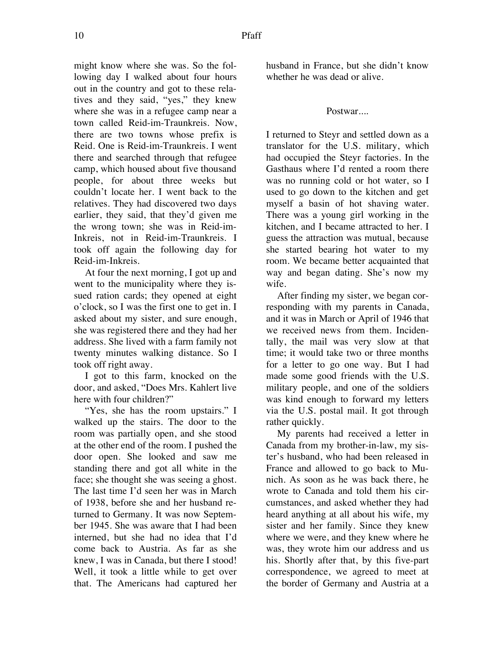might know where she was. So the following day I walked about four hours out in the country and got to these relatives and they said, "yes," they knew where she was in a refugee camp near a town called Reid-im-Traunkreis. Now, there are two towns whose prefix is Reid. One is Reid-im-Traunkreis. I went there and searched through that refugee camp, which housed about five thousand people, for about three weeks but couldn't locate her. I went back to the relatives. They had discovered two days earlier, they said, that they'd given me the wrong town; she was in Reid-im-Inkreis, not in Reid-im-Traunkreis. I took off again the following day for Reid-im-Inkreis.

At four the next morning, I got up and went to the municipality where they issued ration cards; they opened at eight o'clock, so I was the first one to get in. I asked about my sister, and sure enough, she was registered there and they had her address. She lived with a farm family not twenty minutes walking distance. So I took off right away.

I got to this farm, knocked on the door, and asked, "Does Mrs. Kahlert live here with four children?"

"Yes, she has the room upstairs." I walked up the stairs. The door to the room was partially open, and she stood at the other end of the room. I pushed the door open. She looked and saw me standing there and got all white in the face; she thought she was seeing a ghost. The last time I'd seen her was in March of 1938, before she and her husband returned to Germany. It was now September 1945. She was aware that I had been interned, but she had no idea that I'd come back to Austria. As far as she knew, I was in Canada, but there I stood! Well, it took a little while to get over that. The Americans had captured her

husband in France, but she didn't know whether he was dead or alive.

### Postwar....

I returned to Steyr and settled down as a translator for the U.S. military, which had occupied the Steyr factories. In the Gasthaus where I'd rented a room there was no running cold or hot water, so I used to go down to the kitchen and get myself a basin of hot shaving water. There was a young girl working in the kitchen, and I became attracted to her. I guess the attraction was mutual, because she started bearing hot water to my room. We became better acquainted that way and began dating. She's now my wife.

After finding my sister, we began corresponding with my parents in Canada, and it was in March or April of 1946 that we received news from them. Incidentally, the mail was very slow at that time; it would take two or three months for a letter to go one way. But I had made some good friends with the U.S. military people, and one of the soldiers was kind enough to forward my letters via the U.S. postal mail. It got through rather quickly.

My parents had received a letter in Canada from my brother-in-law, my sister's husband, who had been released in France and allowed to go back to Munich. As soon as he was back there, he wrote to Canada and told them his circumstances, and asked whether they had heard anything at all about his wife, my sister and her family. Since they knew where we were, and they knew where he was, they wrote him our address and us his. Shortly after that, by this five-part correspondence, we agreed to meet at the border of Germany and Austria at a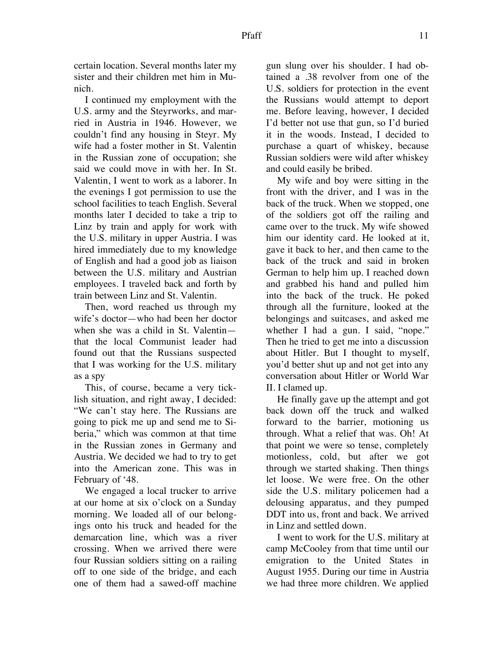certain location. Several months later my sister and their children met him in Munich.

I continued my employment with the U.S. army and the Steyrworks, and married in Austria in 1946. However, we couldn't find any housing in Steyr. My wife had a foster mother in St. Valentin in the Russian zone of occupation; she said we could move in with her. In St. Valentin, I went to work as a laborer. In the evenings I got permission to use the school facilities to teach English. Several months later I decided to take a trip to Linz by train and apply for work with the U.S. military in upper Austria. I was hired immediately due to my knowledge of English and had a good job as liaison between the U.S. military and Austrian employees. I traveled back and forth by train between Linz and St. Valentin.

Then, word reached us through my wife's doctor—who had been her doctor when she was a child in St. Valentin that the local Communist leader had found out that the Russians suspected that I was working for the U.S. military as a spy

This, of course, became a very ticklish situation, and right away, I decided: "We can't stay here. The Russians are going to pick me up and send me to Siberia," which was common at that time in the Russian zones in Germany and Austria. We decided we had to try to get into the American zone. This was in February of '48.

We engaged a local trucker to arrive at our home at six o'clock on a Sunday morning. We loaded all of our belongings onto his truck and headed for the demarcation line, which was a river crossing. When we arrived there were four Russian soldiers sitting on a railing off to one side of the bridge, and each one of them had a sawed-off machine gun slung over his shoulder. I had obtained a .38 revolver from one of the U.S. soldiers for protection in the event the Russians would attempt to deport me. Before leaving, however, I decided I'd better not use that gun, so I'd buried it in the woods. Instead, I decided to purchase a quart of whiskey, because Russian soldiers were wild after whiskey and could easily be bribed.

My wife and boy were sitting in the front with the driver, and I was in the back of the truck. When we stopped, one of the soldiers got off the railing and came over to the truck. My wife showed him our identity card. He looked at it, gave it back to her, and then came to the back of the truck and said in broken German to help him up. I reached down and grabbed his hand and pulled him into the back of the truck. He poked through all the furniture, looked at the belongings and suitcases, and asked me whether I had a gun. I said, "nope." Then he tried to get me into a discussion about Hitler. But I thought to myself, you'd better shut up and not get into any conversation about Hitler or World War II. I clamed up.

He finally gave up the attempt and got back down off the truck and walked forward to the barrier, motioning us through. What a relief that was. Oh! At that point we were so tense, completely motionless, cold, but after we got through we started shaking. Then things let loose. We were free. On the other side the U.S. military policemen had a delousing apparatus, and they pumped DDT into us, front and back. We arrived in Linz and settled down.

I went to work for the U.S. military at camp McCooley from that time until our emigration to the United States in August 1955. During our time in Austria we had three more children. We applied